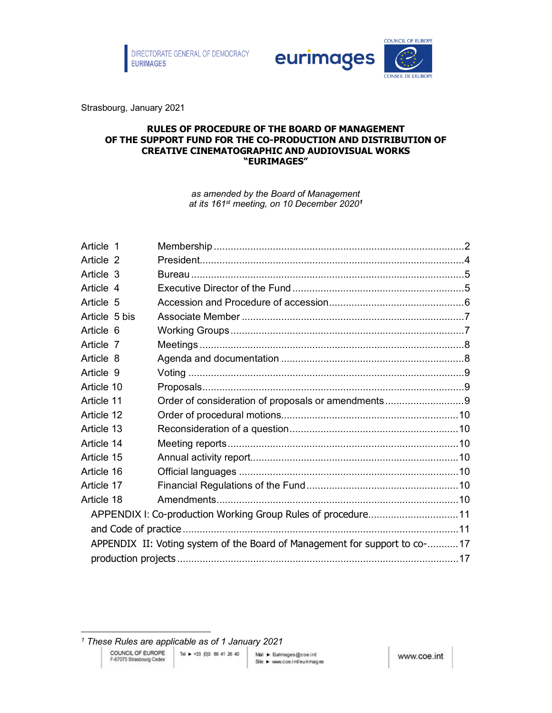

eurimages



Strasbourg, January 2021

#### **RULES OF PROCEDURE OF THE BOARD OF MANAGEMENT OF THE SUPPORT FUND FOR THE CO-PRODUCTION AND DISTRIBUTION OF CREATIVE CINEMATOGRAPHIC AND AUDIOVISUAL WORKS "EURIMAGES"**

*as amended by the Board of Management at its 161st meeting, on 10 December 2020[1](#page-0-0)*

| Article 1     |  |                                                                            |  |  |  |  |  |
|---------------|--|----------------------------------------------------------------------------|--|--|--|--|--|
| Article 2     |  |                                                                            |  |  |  |  |  |
| Article 3     |  |                                                                            |  |  |  |  |  |
| Article 4     |  |                                                                            |  |  |  |  |  |
| Article 5     |  |                                                                            |  |  |  |  |  |
| Article 5 bis |  |                                                                            |  |  |  |  |  |
| Article 6     |  |                                                                            |  |  |  |  |  |
| Article 7     |  |                                                                            |  |  |  |  |  |
| Article 8     |  |                                                                            |  |  |  |  |  |
| Article 9     |  |                                                                            |  |  |  |  |  |
| Article 10    |  |                                                                            |  |  |  |  |  |
| Article 11    |  |                                                                            |  |  |  |  |  |
| Article 12    |  |                                                                            |  |  |  |  |  |
| Article 13    |  |                                                                            |  |  |  |  |  |
| Article 14    |  |                                                                            |  |  |  |  |  |
| Article 15    |  |                                                                            |  |  |  |  |  |
| Article 16    |  |                                                                            |  |  |  |  |  |
| Article 17    |  |                                                                            |  |  |  |  |  |
| Article 18    |  |                                                                            |  |  |  |  |  |
|               |  | APPENDIX I: Co-production Working Group Rules of procedure11               |  |  |  |  |  |
|               |  |                                                                            |  |  |  |  |  |
|               |  | APPENDIX II: Voting system of the Board of Management for support to co-17 |  |  |  |  |  |
|               |  |                                                                            |  |  |  |  |  |
|               |  |                                                                            |  |  |  |  |  |

<span id="page-0-0"></span>*<sup>1</sup> These Rules are applicable as of 1 January 2021*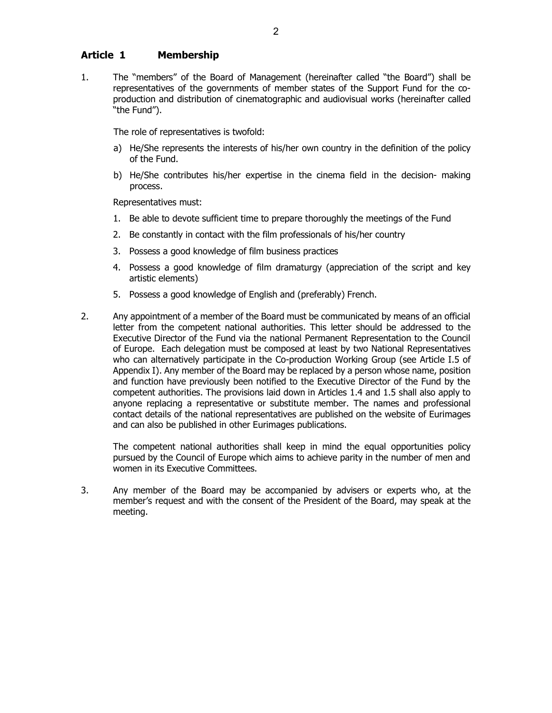## <span id="page-1-0"></span>**Article 1 Membership**

1. The "members" of the Board of Management (hereinafter called "the Board") shall be representatives of the governments of member states of the Support Fund for the coproduction and distribution of cinematographic and audiovisual works (hereinafter called "the Fund").

The role of representatives is twofold:

- a) He/She represents the interests of his/her own country in the definition of the policy of the Fund.
- b) He/She contributes his/her expertise in the cinema field in the decision- making process.

Representatives must:

- 1. Be able to devote sufficient time to prepare thoroughly the meetings of the Fund
- 2. Be constantly in contact with the film professionals of his/her country
- 3. Possess a good knowledge of film business practices
- 4. Possess a good knowledge of film dramaturgy (appreciation of the script and key artistic elements)
- 5. Possess a good knowledge of English and (preferably) French.
- 2. Any appointment of a member of the Board must be communicated by means of an official letter from the competent national authorities. This letter should be addressed to the Executive Director of the Fund via the national Permanent Representation to the Council of Europe. Each delegation must be composed at least by two National Representatives who can alternatively participate in the Co-production Working Group (see Article I.5 of Appendix I). Any member of the Board may be replaced by a person whose name, position and function have previously been notified to the Executive Director of the Fund by the competent authorities. The provisions laid down in Articles 1.4 and 1.5 shall also apply to anyone replacing a representative or substitute member. The names and professional contact details of the national representatives are published on the website of Eurimages and can also be published in other Eurimages publications.

The competent national authorities shall keep in mind the equal opportunities policy pursued by the Council of Europe which aims to achieve parity in the number of men and women in its Executive Committees.

3. Any member of the Board may be accompanied by advisers or experts who, at the member's request and with the consent of the President of the Board, may speak at the meeting.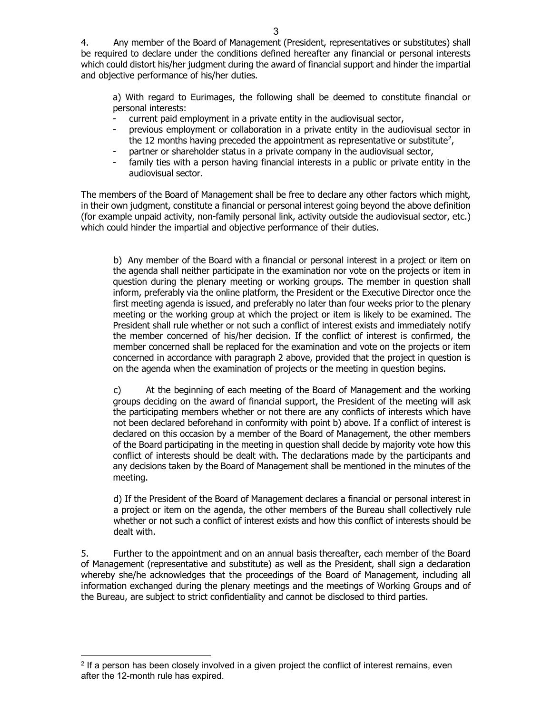4. Any member of the Board of Management (President, representatives or substitutes) shall be required to declare under the conditions defined hereafter any financial or personal interests which could distort his/her judgment during the award of financial support and hinder the impartial and objective performance of his/her duties.

a) With regard to Eurimages, the following shall be deemed to constitute financial or personal interests:

- current paid employment in a private entity in the audiovisual sector,
- previous employment or collaboration in a private entity in the audiovisual sector in the 12 months having preceded the appointment as representative or substitute<sup>2</sup>,
- partner or shareholder status in a private company in the audiovisual sector,
- family ties with a person having financial interests in a public or private entity in the audiovisual sector.

The members of the Board of Management shall be free to declare any other factors which might, in their own judgment, constitute a financial or personal interest going beyond the above definition (for example unpaid activity, non-family personal link, activity outside the audiovisual sector, etc.) which could hinder the impartial and objective performance of their duties.

b) Any member of the Board with a financial or personal interest in a project or item on the agenda shall neither participate in the examination nor vote on the projects or item in question during the plenary meeting or working groups. The member in question shall inform, preferably via the online platform, the President or the Executive Director once the first meeting agenda is issued, and preferably no later than four weeks prior to the plenary meeting or the working group at which the project or item is likely to be examined. The President shall rule whether or not such a conflict of interest exists and immediately notify the member concerned of his/her decision. If the conflict of interest is confirmed, the member concerned shall be replaced for the examination and vote on the projects or item concerned in accordance with paragraph 2 above, provided that the project in question is on the agenda when the examination of projects or the meeting in question begins.

c) At the beginning of each meeting of the Board of Management and the working groups deciding on the award of financial support, the President of the meeting will ask the participating members whether or not there are any conflicts of interests which have not been declared beforehand in conformity with point b) above. If a conflict of interest is declared on this occasion by a member of the Board of Management, the other members of the Board participating in the meeting in question shall decide by majority vote how this conflict of interests should be dealt with. The declarations made by the participants and any decisions taken by the Board of Management shall be mentioned in the minutes of the meeting.

d) If the President of the Board of Management declares a financial or personal interest in a project or item on the agenda, the other members of the Bureau shall collectively rule whether or not such a conflict of interest exists and how this conflict of interests should be dealt with.

5. Further to the appointment and on an annual basis thereafter, each member of the Board of Management (representative and substitute) as well as the President, shall sign a declaration whereby she/he acknowledges that the proceedings of the Board of Management, including all information exchanged during the plenary meetings and the meetings of Working Groups and of the Bureau, are subject to strict confidentiality and cannot be disclosed to third parties.

<span id="page-2-0"></span> $2$  If a person has been closely involved in a given project the conflict of interest remains, even after the 12-month rule has expired.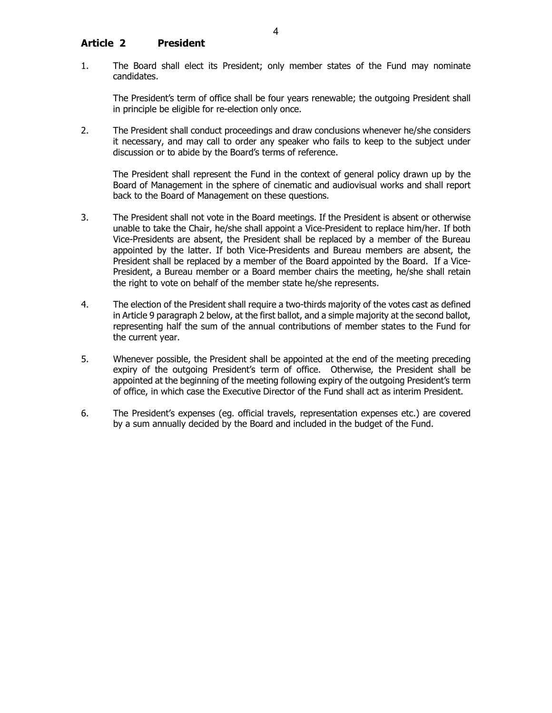## <span id="page-3-0"></span>**Article 2 President**

1. The Board shall elect its President; only member states of the Fund may nominate candidates.

The President's term of office shall be four years renewable; the outgoing President shall in principle be eligible for re-election only once.

2. The President shall conduct proceedings and draw conclusions whenever he/she considers it necessary, and may call to order any speaker who fails to keep to the subject under discussion or to abide by the Board's terms of reference.

The President shall represent the Fund in the context of general policy drawn up by the Board of Management in the sphere of cinematic and audiovisual works and shall report back to the Board of Management on these questions.

- 3. The President shall not vote in the Board meetings. If the President is absent or otherwise unable to take the Chair, he/she shall appoint a Vice-President to replace him/her. If both Vice-Presidents are absent, the President shall be replaced by a member of the Bureau appointed by the latter. If both Vice-Presidents and Bureau members are absent, the President shall be replaced by a member of the Board appointed by the Board. If a Vice-President, a Bureau member or a Board member chairs the meeting, he/she shall retain the right to vote on behalf of the member state he/she represents.
- 4. The election of the President shall require a two-thirds majority of the votes cast as defined in Article 9 paragraph 2 below, at the first ballot, and a simple majority at the second ballot, representing half the sum of the annual contributions of member states to the Fund for the current year.
- 5. Whenever possible, the President shall be appointed at the end of the meeting preceding expiry of the outgoing President's term of office. Otherwise, the President shall be appointed at the beginning of the meeting following expiry of the outgoing President's term of office, in which case the Executive Director of the Fund shall act as interim President.
- 6. The President's expenses (eg. official travels, representation expenses etc.) are covered by a sum annually decided by the Board and included in the budget of the Fund.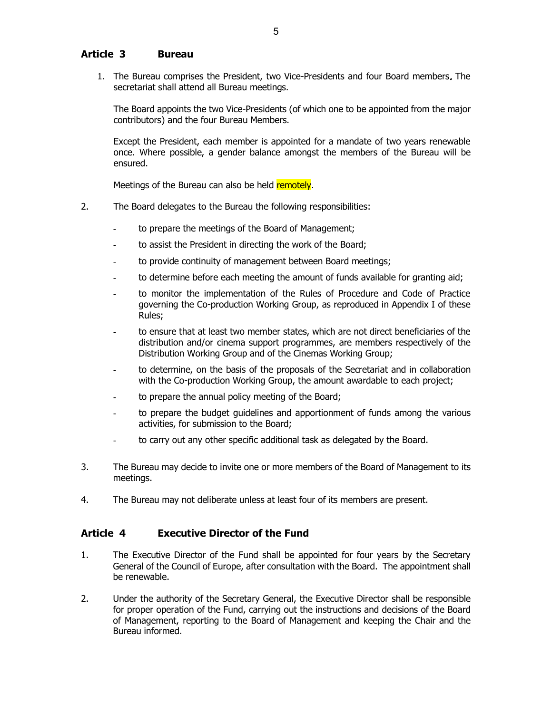## <span id="page-4-0"></span>**Article 3 Bureau**

1. The Bureau comprises the President, two Vice-Presidents and four Board members. The secretariat shall attend all Bureau meetings.

The Board appoints the two Vice-Presidents (of which one to be appointed from the major contributors) and the four Bureau Members.

Except the President, each member is appointed for a mandate of two years renewable once. Where possible, a gender balance amongst the members of the Bureau will be ensured.

Meetings of the Bureau can also be held remotely.

- 2. The Board delegates to the Bureau the following responsibilities:
	- to prepare the meetings of the Board of Management;
	- to assist the President in directing the work of the Board;
	- to provide continuity of management between Board meetings;
	- to determine before each meeting the amount of funds available for granting aid;
	- to monitor the implementation of the Rules of Procedure and Code of Practice governing the Co-production Working Group, as reproduced in Appendix I of these Rules;
	- to ensure that at least two member states, which are not direct beneficiaries of the distribution and/or cinema support programmes, are members respectively of the Distribution Working Group and of the Cinemas Working Group;
	- to determine, on the basis of the proposals of the Secretariat and in collaboration with the Co-production Working Group, the amount awardable to each project;
	- to prepare the annual policy meeting of the Board;
	- to prepare the budget guidelines and apportionment of funds among the various activities, for submission to the Board;
	- to carry out any other specific additional task as delegated by the Board.
- 3. The Bureau may decide to invite one or more members of the Board of Management to its meetings.
- 4. The Bureau may not deliberate unless at least four of its members are present.

#### <span id="page-4-1"></span>**Article 4 Executive Director of the Fund**

- 1. The Executive Director of the Fund shall be appointed for four years by the Secretary General of the Council of Europe, after consultation with the Board. The appointment shall be renewable.
- 2. Under the authority of the Secretary General, the Executive Director shall be responsible for proper operation of the Fund, carrying out the instructions and decisions of the Board of Management, reporting to the Board of Management and keeping the Chair and the Bureau informed.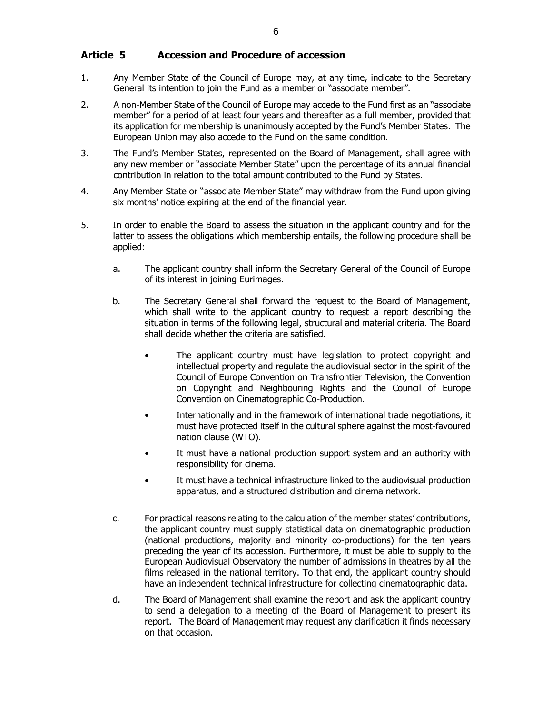- <span id="page-5-0"></span>1. Any Member State of the Council of Europe may, at any time, indicate to the Secretary General its intention to join the Fund as a member or "associate member".
- 2. A non-Member State of the Council of Europe may accede to the Fund first as an "associate member" for a period of at least four years and thereafter as a full member, provided that its application for membership is unanimously accepted by the Fund's Member States. The European Union may also accede to the Fund on the same condition.
- 3. The Fund's Member States, represented on the Board of Management, shall agree with any new member or "associate Member State" upon the percentage of its annual financial contribution in relation to the total amount contributed to the Fund by States.
- 4. Any Member State or "associate Member State" may withdraw from the Fund upon giving six months' notice expiring at the end of the financial year.
- 5. In order to enable the Board to assess the situation in the applicant country and for the latter to assess the obligations which membership entails, the following procedure shall be applied:
	- a. The applicant country shall inform the Secretary General of the Council of Europe of its interest in joining Eurimages.
	- b. The Secretary General shall forward the request to the Board of Management, which shall write to the applicant country to request a report describing the situation in terms of the following legal, structural and material criteria. The Board shall decide whether the criteria are satisfied.
		- The applicant country must have legislation to protect copyright and intellectual property and regulate the audiovisual sector in the spirit of the Council of Europe Convention on Transfrontier Television, the Convention on Copyright and Neighbouring Rights and the Council of Europe Convention on Cinematographic Co-Production.
		- Internationally and in the framework of international trade negotiations, it must have protected itself in the cultural sphere against the most-favoured nation clause (WTO).
		- It must have a national production support system and an authority with responsibility for cinema.
		- It must have a technical infrastructure linked to the audiovisual production apparatus, and a structured distribution and cinema network.
	- c. For practical reasons relating to the calculation of the member states' contributions, the applicant country must supply statistical data on cinematographic production (national productions, majority and minority co-productions) for the ten years preceding the year of its accession. Furthermore, it must be able to supply to the European Audiovisual Observatory the number of admissions in theatres by all the films released in the national territory. To that end, the applicant country should have an independent technical infrastructure for collecting cinematographic data.
	- d. The Board of Management shall examine the report and ask the applicant country to send a delegation to a meeting of the Board of Management to present its report. The Board of Management may request any clarification it finds necessary on that occasion.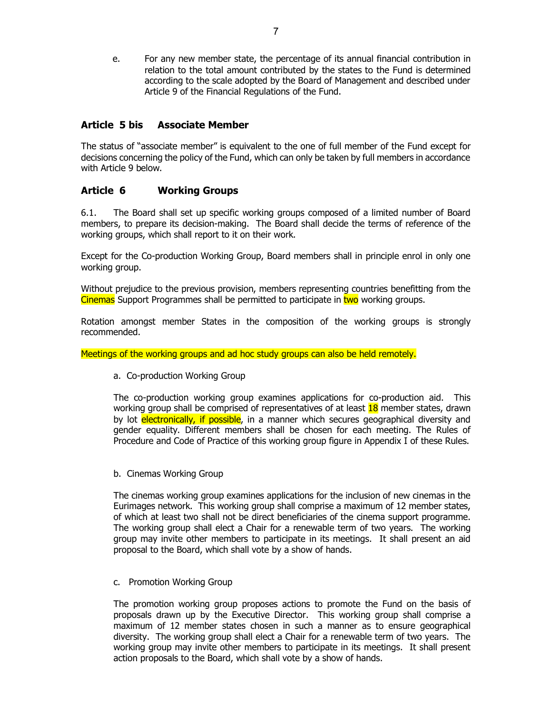e. For any new member state, the percentage of its annual financial contribution in relation to the total amount contributed by the states to the Fund is determined according to the scale adopted by the Board of Management and described under Article 9 of the Financial Regulations of the Fund.

## <span id="page-6-0"></span>**Article 5 bis Associate Member**

The status of "associate member" is equivalent to the one of full member of the Fund except for decisions concerning the policy of the Fund, which can only be taken by full members in accordance with Article 9 below.

## <span id="page-6-1"></span>**Article 6 Working Groups**

6.1. The Board shall set up specific working groups composed of a limited number of Board members, to prepare its decision-making. The Board shall decide the terms of reference of the working groups, which shall report to it on their work.

Except for the Co-production Working Group, Board members shall in principle enrol in only one working group.

Without prejudice to the previous provision, members representing countries benefitting from the Cinemas Support Programmes shall be permitted to participate in two working groups.

Rotation amongst member States in the composition of the working groups is strongly recommended.

Meetings of the working groups and ad hoc study groups can also be held remotely.

a. Co-production Working Group

The co-production working group examines applications for co-production aid. This working group shall be comprised of representatives of at least 18 member states, drawn by lot electronically, if possible, in a manner which secures geographical diversity and gender equality. Different members shall be chosen for each meeting. The Rules of Procedure and Code of Practice of this working group figure in Appendix I of these Rules.

b. Cinemas Working Group

The cinemas working group examines applications for the inclusion of new cinemas in the Eurimages network. This working group shall comprise a maximum of 12 member states, of which at least two shall not be direct beneficiaries of the cinema support programme. The working group shall elect a Chair for a renewable term of two years. The working group may invite other members to participate in its meetings. It shall present an aid proposal to the Board, which shall vote by a show of hands.

c. Promotion Working Group

The promotion working group proposes actions to promote the Fund on the basis of proposals drawn up by the Executive Director. This working group shall comprise a maximum of 12 member states chosen in such a manner as to ensure geographical diversity. The working group shall elect a Chair for a renewable term of two years. The working group may invite other members to participate in its meetings. It shall present action proposals to the Board, which shall vote by a show of hands.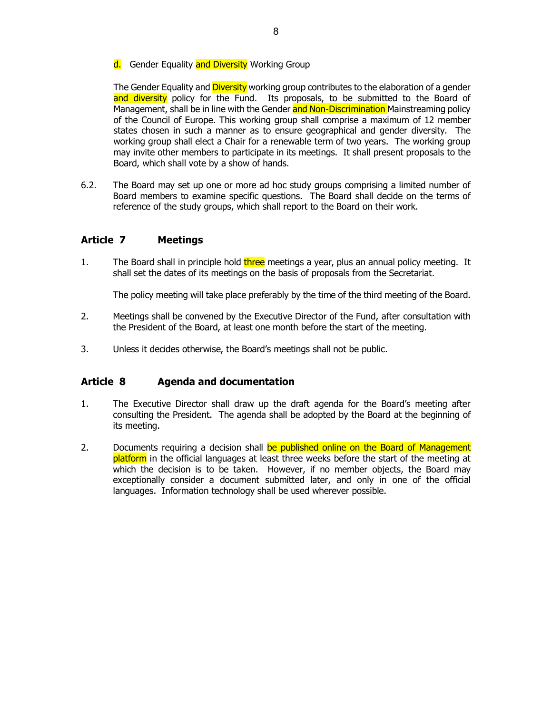#### d. Gender Equality and Diversity Working Group

The Gender Equality and **Diversity** working group contributes to the elaboration of a gender and diversity policy for the Fund. Its proposals, to be submitted to the Board of Management, shall be in line with the Gender and Non-Discrimination Mainstreaming policy of the Council of Europe. This working group shall comprise a maximum of 12 member states chosen in such a manner as to ensure geographical and gender diversity. The working group shall elect a Chair for a renewable term of two years. The working group may invite other members to participate in its meetings. It shall present proposals to the Board, which shall vote by a show of hands.

6.2. The Board may set up one or more ad hoc study groups comprising a limited number of Board members to examine specific questions. The Board shall decide on the terms of reference of the study groups, which shall report to the Board on their work.

# <span id="page-7-0"></span>**Article 7 Meetings**

1. The Board shall in principle hold three meetings a year, plus an annual policy meeting. It shall set the dates of its meetings on the basis of proposals from the Secretariat.

The policy meeting will take place preferably by the time of the third meeting of the Board.

- 2. Meetings shall be convened by the Executive Director of the Fund, after consultation with the President of the Board, at least one month before the start of the meeting.
- 3. Unless it decides otherwise, the Board's meetings shall not be public.

## <span id="page-7-1"></span>**Article 8 Agenda and documentation**

- 1. The Executive Director shall draw up the draft agenda for the Board's meeting after consulting the President. The agenda shall be adopted by the Board at the beginning of its meeting.
- 2. Documents requiring a decision shall be published online on the Board of Management platform in the official languages at least three weeks before the start of the meeting at which the decision is to be taken. However, if no member objects, the Board may exceptionally consider a document submitted later, and only in one of the official languages. Information technology shall be used wherever possible.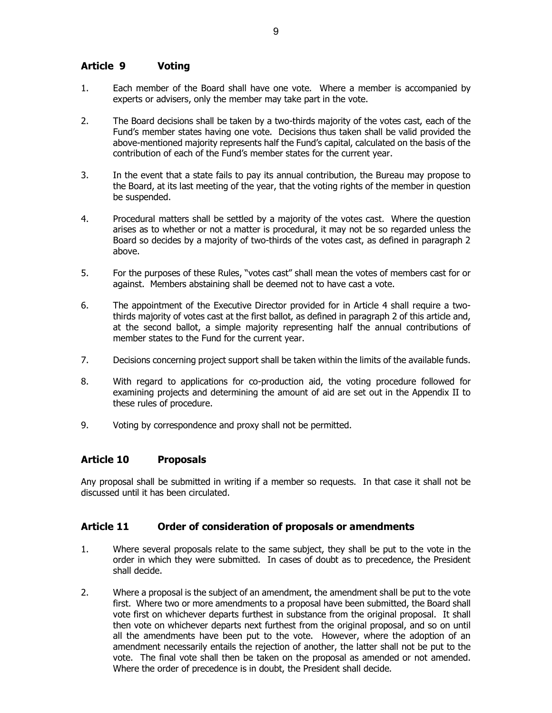# <span id="page-8-0"></span>**Article 9 Voting**

- 1. Each member of the Board shall have one vote. Where a member is accompanied by experts or advisers, only the member may take part in the vote.
- 2. The Board decisions shall be taken by a two-thirds majority of the votes cast, each of the Fund's member states having one vote. Decisions thus taken shall be valid provided the above-mentioned majority represents half the Fund's capital, calculated on the basis of the contribution of each of the Fund's member states for the current year.
- 3. In the event that a state fails to pay its annual contribution, the Bureau may propose to the Board, at its last meeting of the year, that the voting rights of the member in question be suspended.
- 4. Procedural matters shall be settled by a majority of the votes cast. Where the question arises as to whether or not a matter is procedural, it may not be so regarded unless the Board so decides by a majority of two-thirds of the votes cast, as defined in paragraph 2 above.
- 5. For the purposes of these Rules, "votes cast" shall mean the votes of members cast for or against. Members abstaining shall be deemed not to have cast a vote.
- 6. The appointment of the Executive Director provided for in Article 4 shall require a twothirds majority of votes cast at the first ballot, as defined in paragraph 2 of this article and, at the second ballot, a simple majority representing half the annual contributions of member states to the Fund for the current year.
- 7. Decisions concerning project support shall be taken within the limits of the available funds.
- 8. With regard to applications for co-production aid, the voting procedure followed for examining projects and determining the amount of aid are set out in the Appendix II to these rules of procedure.
- 9. Voting by correspondence and proxy shall not be permitted.

#### <span id="page-8-1"></span>**Article 10 Proposals**

Any proposal shall be submitted in writing if a member so requests. In that case it shall not be discussed until it has been circulated.

## <span id="page-8-2"></span>**Article 11 Order of consideration of proposals or amendments**

- 1. Where several proposals relate to the same subject, they shall be put to the vote in the order in which they were submitted. In cases of doubt as to precedence, the President shall decide.
- 2. Where a proposal is the subject of an amendment, the amendment shall be put to the vote first. Where two or more amendments to a proposal have been submitted, the Board shall vote first on whichever departs furthest in substance from the original proposal. It shall then vote on whichever departs next furthest from the original proposal, and so on until all the amendments have been put to the vote. However, where the adoption of an amendment necessarily entails the rejection of another, the latter shall not be put to the vote. The final vote shall then be taken on the proposal as amended or not amended. Where the order of precedence is in doubt, the President shall decide.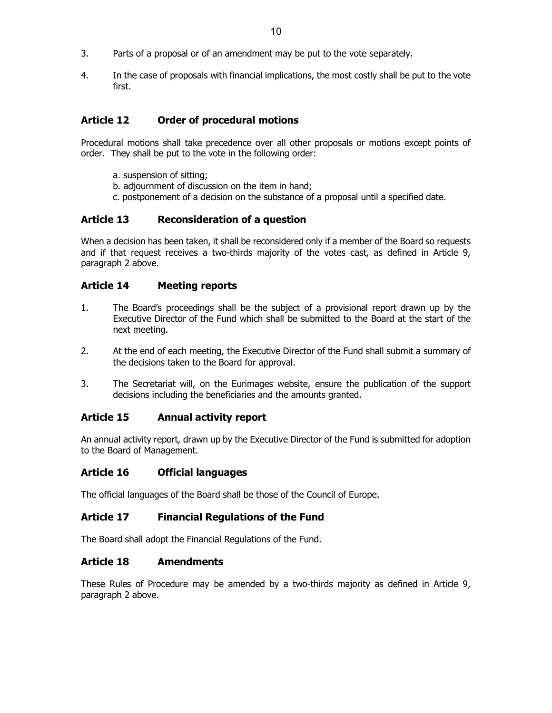- 3. Parts of a proposal or of an amendment may be put to the vote separately.
- 4. In the case of proposals with financial implications, the most costly shall be put to the vote first.

# <span id="page-9-0"></span>**Article 12 Order of procedural motions**

Procedural motions shall take precedence over all other proposals or motions except points of order. They shall be put to the vote in the following order:

- a. suspension of sitting;
- b. adjournment of discussion on the item in hand;
- c. postponement of a decision on the substance of a proposal until a specified date.

## <span id="page-9-1"></span>**Article 13 Reconsideration of a question**

When a decision has been taken, it shall be reconsidered only if a member of the Board so requests and if that request receives a two-thirds majority of the votes cast, as defined in Article 9, paragraph 2 above.

## <span id="page-9-2"></span>**Article 14 Meeting reports**

- 1. The Board's proceedings shall be the subject of a provisional report drawn up by the Executive Director of the Fund which shall be submitted to the Board at the start of the next meeting.
- 2. At the end of each meeting, the Executive Director of the Fund shall submit a summary of the decisions taken to the Board for approval.
- 3. The Secretariat will, on the Eurimages website, ensure the publication of the support decisions including the beneficiaries and the amounts granted.

#### <span id="page-9-3"></span>**Article 15 Annual activity report**

An annual activity report, drawn up by the Executive Director of the Fund is submitted for adoption to the Board of Management.

#### <span id="page-9-4"></span>**Article 16 Official languages**

The official languages of the Board shall be those of the Council of Europe.

## <span id="page-9-5"></span>**Article 17 Financial Regulations of the Fund**

The Board shall adopt the Financial Regulations of the Fund.

#### <span id="page-9-6"></span>**Article 18 Amendments**

These Rules of Procedure may be amended by a two-thirds majority as defined in Article 9, paragraph 2 above.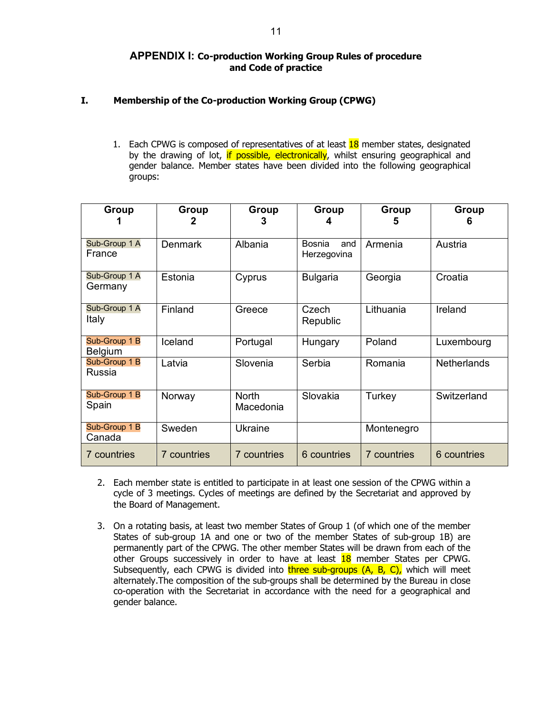## **APPENDIX I: Co-production Working Group Rules of procedure and Code of practice**

## <span id="page-10-1"></span><span id="page-10-0"></span>**I. Membership of the Co-production Working Group (CPWG)**

1. Each CPWG is composed of representatives of at least  $18$  member states, designated by the drawing of lot, if possible, electronically, whilst ensuring geographical and gender balance. Member states have been divided into the following geographical groups:

| Group                           | Group          | Group                     | Group                        | Group              | Group              |
|---------------------------------|----------------|---------------------------|------------------------------|--------------------|--------------------|
| Sub-Group 1 A<br>France         | <b>Denmark</b> | Albania                   | Bosnia<br>and<br>Herzegovina | Armenia            | Austria            |
| Sub-Group 1 A<br>Germany        | Estonia        | Cyprus                    | <b>Bulgaria</b>              | Georgia            | Croatia            |
| Sub-Group 1 A<br>Italy          | Finland        | Greece                    | Czech<br>Republic            | Lithuania          | Ireland            |
| Sub-Group 1 B<br><b>Belgium</b> | Iceland        | Portugal                  | Hungary                      | Poland             | Luxembourg         |
| Sub-Group 1 B<br>Russia         | Latvia         | Slovenia                  | Serbia                       | Romania            | <b>Netherlands</b> |
| Sub-Group 1 B<br>Spain          | Norway         | <b>North</b><br>Macedonia | Slovakia                     | Turkey             | Switzerland        |
| Sub-Group 1 B<br>Canada         | Sweden         | <b>Ukraine</b>            |                              | Montenegro         |                    |
| <b>7</b> countries              | 7 countries    | 7 countries               | 6 countries                  | <b>7</b> countries | 6 countries        |

- 2. Each member state is entitled to participate in at least one session of the CPWG within a cycle of 3 meetings. Cycles of meetings are defined by the Secretariat and approved by the Board of Management.
- 3. On a rotating basis, at least two member States of Group 1 (of which one of the member States of sub-group 1A and one or two of the member States of sub-group 1B) are permanently part of the CPWG. The other member States will be drawn from each of the other Groups successively in order to have at least 18 member States per CPWG. Subsequently, each CPWG is divided into three sub-groups  $(A, B, C)$ , which will meet alternately.The composition of the sub-groups shall be determined by the Bureau in close co-operation with the Secretariat in accordance with the need for a geographical and gender balance.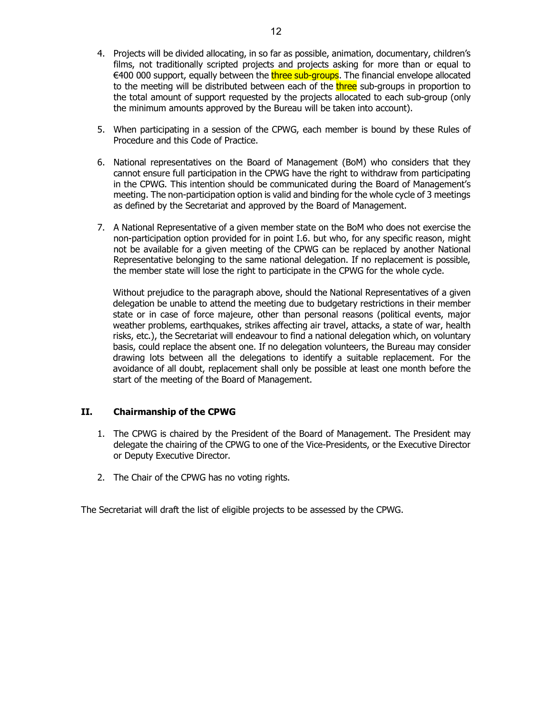- 4. Projects will be divided allocating, in so far as possible, animation, documentary, children's films, not traditionally scripted projects and projects asking for more than or equal to  $\epsilon$ 400 000 support, equally between the three sub-groups. The financial envelope allocated to the meeting will be distributed between each of the three sub-groups in proportion to the total amount of support requested by the projects allocated to each sub-group (only the minimum amounts approved by the Bureau will be taken into account).
- 5. When participating in a session of the CPWG, each member is bound by these Rules of Procedure and this Code of Practice.
- 6. National representatives on the Board of Management (BoM) who considers that they cannot ensure full participation in the CPWG have the right to withdraw from participating in the CPWG. This intention should be communicated during the Board of Management's meeting. The non-participation option is valid and binding for the whole cycle of 3 meetings as defined by the Secretariat and approved by the Board of Management.
- 7. A National Representative of a given member state on the BoM who does not exercise the non-participation option provided for in point I.6. but who, for any specific reason, might not be available for a given meeting of the CPWG can be replaced by another National Representative belonging to the same national delegation. If no replacement is possible, the member state will lose the right to participate in the CPWG for the whole cycle.

Without prejudice to the paragraph above, should the National Representatives of a given delegation be unable to attend the meeting due to budgetary restrictions in their member state or in case of force majeure, other than personal reasons (political events, major weather problems, earthquakes, strikes affecting air travel, attacks, a state of war, health risks, etc.), the Secretariat will endeavour to find a national delegation which, on voluntary basis, could replace the absent one. If no delegation volunteers, the Bureau may consider drawing lots between all the delegations to identify a suitable replacement. For the avoidance of all doubt, replacement shall only be possible at least one month before the start of the meeting of the Board of Management.

#### **II. Chairmanship of the CPWG**

- 1. The CPWG is chaired by the President of the Board of Management. The President may delegate the chairing of the CPWG to one of the Vice-Presidents, or the Executive Director or Deputy Executive Director.
- 2. The Chair of the CPWG has no voting rights.

The Secretariat will draft the list of eligible projects to be assessed by the CPWG.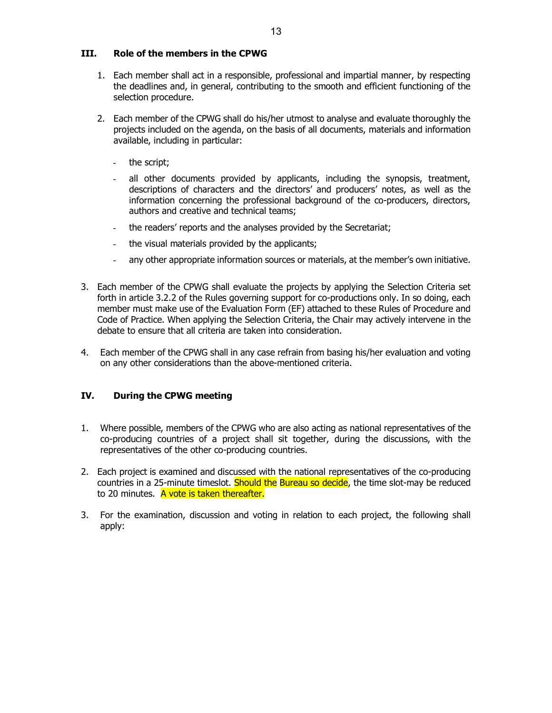#### **III. Role of the members in the CPWG**

- 1. Each member shall act in a responsible, professional and impartial manner, by respecting the deadlines and, in general, contributing to the smooth and efficient functioning of the selection procedure.
- 2. Each member of the CPWG shall do his/her utmost to analyse and evaluate thoroughly the projects included on the agenda, on the basis of all documents, materials and information available, including in particular:
	- the script;
	- all other documents provided by applicants, including the synopsis, treatment, descriptions of characters and the directors' and producers' notes, as well as the information concerning the professional background of the co-producers, directors, authors and creative and technical teams;
	- the readers' reports and the analyses provided by the Secretariat;
	- the visual materials provided by the applicants;
	- any other appropriate information sources or materials, at the member's own initiative.
- 3. Each member of the CPWG shall evaluate the projects by applying the Selection Criteria set forth in article 3.2.2 of the Rules governing support for co-productions only. In so doing, each member must make use of the Evaluation Form (EF) attached to these Rules of Procedure and Code of Practice. When applying the Selection Criteria, the Chair may actively intervene in the debate to ensure that all criteria are taken into consideration.
- 4. Each member of the CPWG shall in any case refrain from basing his/her evaluation and voting on any other considerations than the above-mentioned criteria.

## **IV. During the CPWG meeting**

- 1. Where possible, members of the CPWG who are also acting as national representatives of the co-producing countries of a project shall sit together, during the discussions, with the representatives of the other co-producing countries.
- 2. Each project is examined and discussed with the national representatives of the co-producing countries in a 25-minute timeslot. Should the Bureau so decide, the time slot-may be reduced to 20 minutes. A vote is taken thereafter.
- 3. For the examination, discussion and voting in relation to each project, the following shall apply: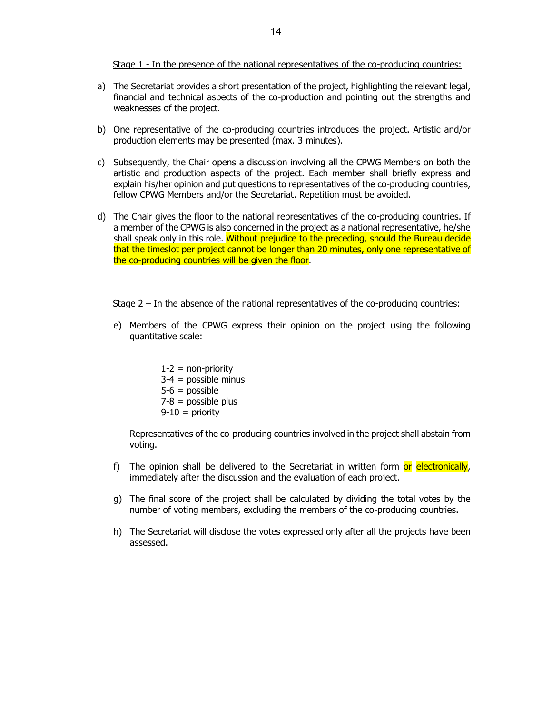Stage 1 - In the presence of the national representatives of the co-producing countries:

- a) The Secretariat provides a short presentation of the project, highlighting the relevant legal, financial and technical aspects of the co-production and pointing out the strengths and weaknesses of the project.
- b) One representative of the co-producing countries introduces the project. Artistic and/or production elements may be presented (max. 3 minutes).
- c) Subsequently, the Chair opens a discussion involving all the CPWG Members on both the artistic and production aspects of the project. Each member shall briefly express and explain his/her opinion and put questions to representatives of the co-producing countries, fellow CPWG Members and/or the Secretariat. Repetition must be avoided.
- d) The Chair gives the floor to the national representatives of the co-producing countries. If a member of the CPWG is also concerned in the project as a national representative, he/she shall speak only in this role. Without prejudice to the preceding, should the Bureau decide that the timeslot per project cannot be longer than 20 minutes, only one representative of the co-producing countries will be given the floor.

Stage 2 – In the absence of the national representatives of the co-producing countries:

- e) Members of the CPWG express their opinion on the project using the following quantitative scale:
	- $1-2 =$  non-priority  $3-4$  = possible minus  $5-6 =$  possible  $7-8$  = possible plus  $9-10 =$  priority

Representatives of the co-producing countries involved in the project shall abstain from voting.

- f) The opinion shall be delivered to the Secretariat in written form or electronically, immediately after the discussion and the evaluation of each project.
- g) The final score of the project shall be calculated by dividing the total votes by the number of voting members, excluding the members of the co-producing countries.
- h) The Secretariat will disclose the votes expressed only after all the projects have been assessed.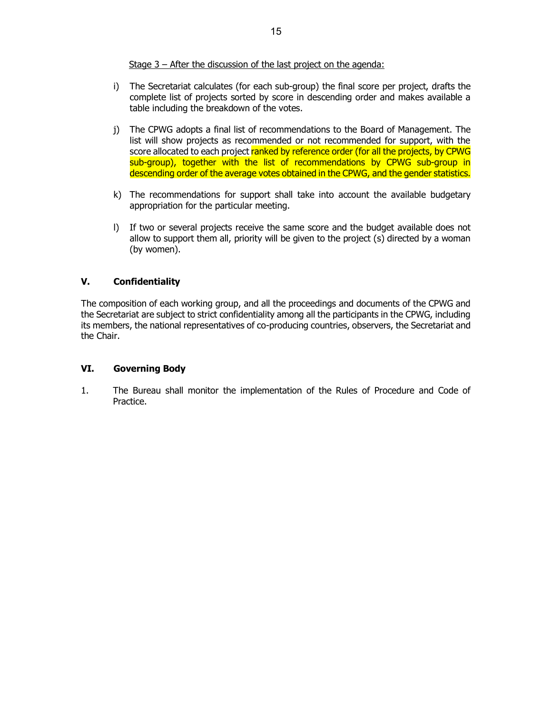Stage 3 – After the discussion of the last project on the agenda:

- i) The Secretariat calculates (for each sub-group) the final score per project, drafts the complete list of projects sorted by score in descending order and makes available a table including the breakdown of the votes.
- j) The CPWG adopts a final list of recommendations to the Board of Management. The list will show projects as recommended or not recommended for support, with the score allocated to each project ranked by reference order (for all the projects, by CPWG sub-group), together with the list of recommendations by CPWG sub-group in descending order of the average votes obtained in the CPWG, and the gender statistics.
- k) The recommendations for support shall take into account the available budgetary appropriation for the particular meeting.
- l) If two or several projects receive the same score and the budget available does not allow to support them all, priority will be given to the project (s) directed by a woman (by women).

## **V. Confidentiality**

The composition of each working group, and all the proceedings and documents of the CPWG and the Secretariat are subject to strict confidentiality among all the participants in the CPWG, including its members, the national representatives of co-producing countries, observers, the Secretariat and the Chair.

#### **VI. Governing Body**

1. The Bureau shall monitor the implementation of the Rules of Procedure and Code of Practice.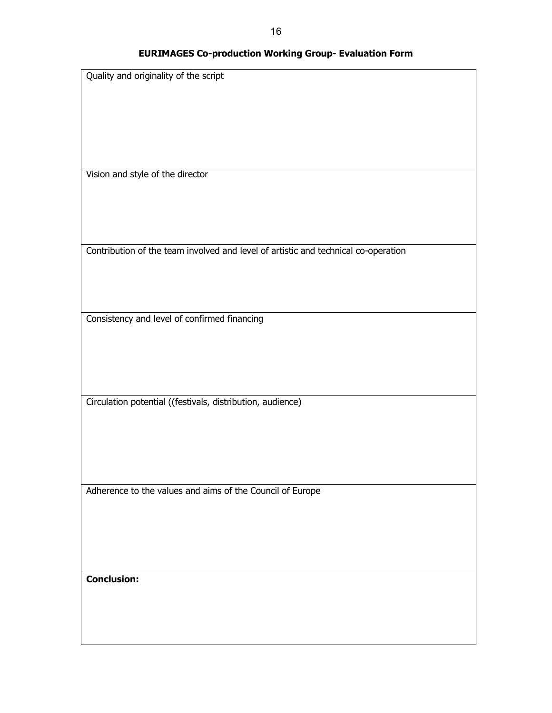# **EURIMAGES Co-production Working Group- Evaluation Form**

| Quality and originality of the script                                              |
|------------------------------------------------------------------------------------|
|                                                                                    |
|                                                                                    |
|                                                                                    |
|                                                                                    |
|                                                                                    |
|                                                                                    |
|                                                                                    |
|                                                                                    |
|                                                                                    |
| Vision and style of the director                                                   |
|                                                                                    |
|                                                                                    |
|                                                                                    |
|                                                                                    |
|                                                                                    |
|                                                                                    |
|                                                                                    |
| Contribution of the team involved and level of artistic and technical co-operation |
|                                                                                    |
|                                                                                    |
|                                                                                    |
|                                                                                    |
|                                                                                    |
|                                                                                    |
| Consistency and level of confirmed financing                                       |
|                                                                                    |
|                                                                                    |
|                                                                                    |
|                                                                                    |
|                                                                                    |
|                                                                                    |
|                                                                                    |
| Circulation potential ((festivals, distribution, audience)                         |
|                                                                                    |
|                                                                                    |
|                                                                                    |
|                                                                                    |
|                                                                                    |
|                                                                                    |
|                                                                                    |
|                                                                                    |
| Adherence to the values and aims of the Council of Europe                          |
|                                                                                    |
|                                                                                    |
|                                                                                    |
|                                                                                    |
|                                                                                    |
|                                                                                    |
|                                                                                    |
|                                                                                    |
| <b>Conclusion:</b>                                                                 |
|                                                                                    |
|                                                                                    |
|                                                                                    |
|                                                                                    |
|                                                                                    |